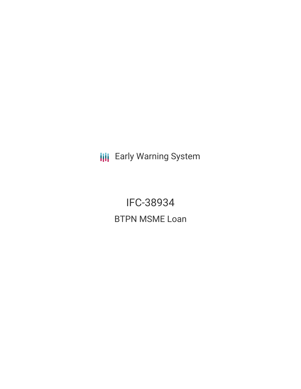**III** Early Warning System

IFC-38934 BTPN MSME Loan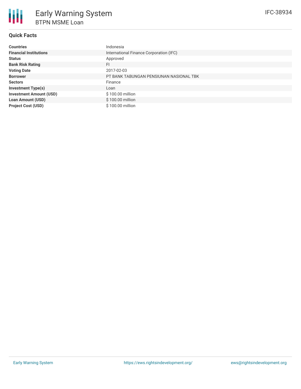

## **Quick Facts**

| <b>Countries</b>               | Indonesia                               |
|--------------------------------|-----------------------------------------|
| <b>Financial Institutions</b>  | International Finance Corporation (IFC) |
| <b>Status</b>                  | Approved                                |
| <b>Bank Risk Rating</b>        | FI                                      |
| <b>Voting Date</b>             | 2017-02-03                              |
| <b>Borrower</b>                | PT BANK TABUNGAN PENSIUNAN NASIONAL TBK |
| <b>Sectors</b>                 | Finance                                 |
| <b>Investment Type(s)</b>      | Loan                                    |
| <b>Investment Amount (USD)</b> | \$100.00 million                        |
| <b>Loan Amount (USD)</b>       | \$100.00 million                        |
| <b>Project Cost (USD)</b>      | \$100.00 million                        |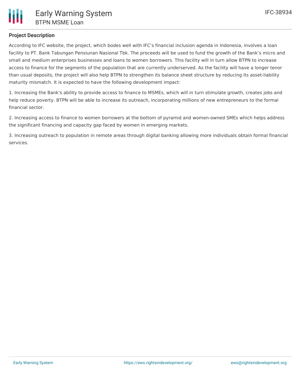# **Project Description**

According to IFC website, the project, which bodes well with IFC's financial inclusion agenda in Indonesia, involves a loan facility to PT. Bank Tabungan Pensiunan Nasional Tbk. The proceeds will be used to fund the growth of the Bank's micro and small and medium enterprises businesses and loans to women borrowers. This facility will in turn allow BTPN to increase access to finance for the segments of the population that are currently underserved. As the facility will have a longer tenor than usual deposits, the project will also help BTPN to strengthen its balance sheet structure by reducing its asset-liability maturity mismatch. It is expected to have the following development impact:

1. Increasing the Bank's ability to provide access to finance to MSMEs, which will in turn stimulate growth, creates jobs and help reduce poverty. BTPN will be able to increase its outreach, incorporating millions of new entrepreneurs to the formal financial sector.

2. Increasing access to finance to women borrowers at the bottom of pyramid and women-owned SMEs which helps address the significant financing and capacity gap faced by women in emerging markets.

3. Increasing outreach to population in remote areas through digital banking allowing more individuals obtain formal financial services.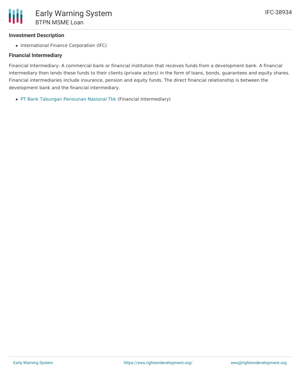### **Investment Description**

• International Finance Corporation (IFC)

### **Financial Intermediary**

Financial Intermediary: A commercial bank or financial institution that receives funds from a development bank. A financial intermediary then lends these funds to their clients (private actors) in the form of loans, bonds, guarantees and equity shares. Financial intermediaries include insurance, pension and equity funds. The direct financial relationship is between the development bank and the financial intermediary.

PT Bank Tabungan [Pensiunan](file:///actor/815/) Nasional Tbk (Financial Intermediary)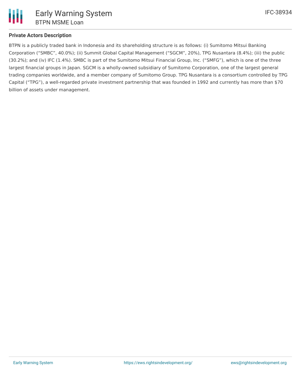

# **Private Actors Description**

BTPN is a publicly traded bank in Indonesia and its shareholding structure is as follows: (i) Sumitomo Mitsui Banking Corporation ("SMBC", 40.0%); (ii) Summit Global Capital Management ("SGCM", 20%), TPG Nusantara (8.4%); (iii) the public (30.2%); and (iv) IFC (1.4%). SMBC is part of the Sumitomo Mitsui Financial Group, Inc. ("SMFG"), which is one of the three largest financial groups in Japan. SGCM is a wholly-owned subsidiary of Sumitomo Corporation, one of the largest general trading companies worldwide, and a member company of Sumitomo Group. TPG Nusantara is a consortium controlled by TPG Capital ("TPG"), a well-regarded private investment partnership that was founded in 1992 and currently has more than \$70 billion of assets under management.